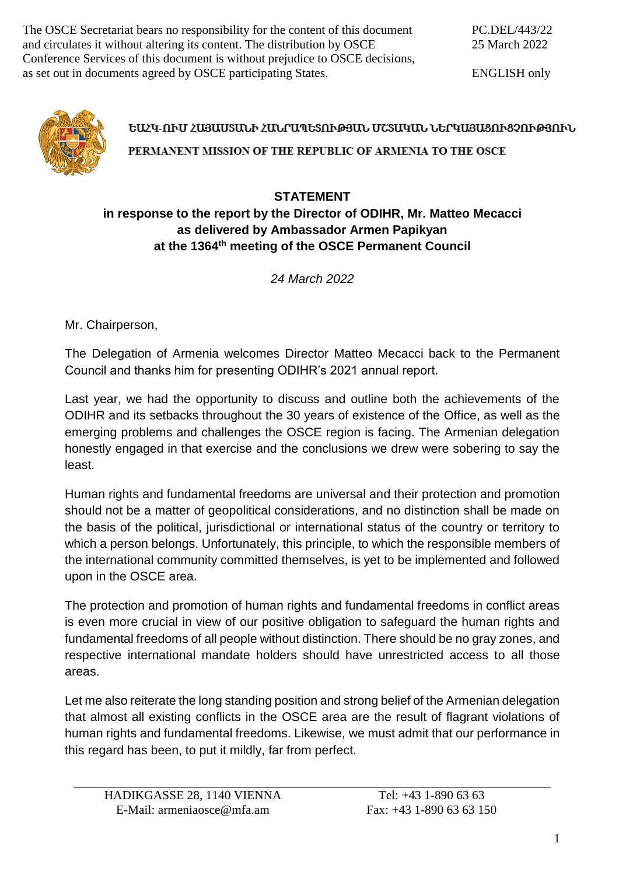The OSCE Secretariat bears no responsibility for the content of this document and circulates it without altering its content. The distribution by OSCE Conference Services of this document is without prejudice to OSCE decisions, as set out in documents agreed by OSCE participating States.

ENGLISH only



## ԵԱՀԿ-ՈՒՄ ՀԱՑԱՍՏԱՆԻ ՀԱՆՐԱՊԵՏՈՒԹՅԱՆ ՄՇՏԱԿԱՆ ՆԵՐԿԱՅԱՑՈՒՑՉՈՒԹՅՈՒՆ

PERMANENT MISSION OF THE REPUBLIC OF ARMENIA TO THE OSCE

## **STATEMENT in response to the report by the Director of ODIHR, Mr. Matteo Mecacci as delivered by Ambassador Armen Papikyan at the 1364th meeting of the OSCE Permanent Council**

*24 March 2022*

Mr. Chairperson,

The Delegation of Armenia welcomes Director Matteo Mecacci back to the Permanent Council and thanks him for presenting ODIHR's 2021 annual report.

Last year, we had the opportunity to discuss and outline both the achievements of the ODIHR and its setbacks throughout the 30 years of existence of the Office, as well as the emerging problems and challenges the OSCE region is facing. The Armenian delegation honestly engaged in that exercise and the conclusions we drew were sobering to say the least.

Human rights and fundamental freedoms are universal and their protection and promotion should not be a matter of geopolitical considerations, and no distinction shall be made on the basis of the political, jurisdictional or international status of the country or territory to which a person belongs. Unfortunately, this principle, to which the responsible members of the international community committed themselves, is yet to be implemented and followed upon in the OSCE area.

The protection and promotion of human rights and fundamental freedoms in conflict areas is even more crucial in view of our positive obligation to safeguard the human rights and fundamental freedoms of all people without distinction. There should be no gray zones, and respective international mandate holders should have unrestricted access to all those areas.

Let me also reiterate the long standing position and strong belief of the Armenian delegation that almost all existing conflicts in the OSCE area are the result of flagrant violations of human rights and fundamental freedoms. Likewise, we must admit that our performance in this regard has been, to put it mildly, far from perfect.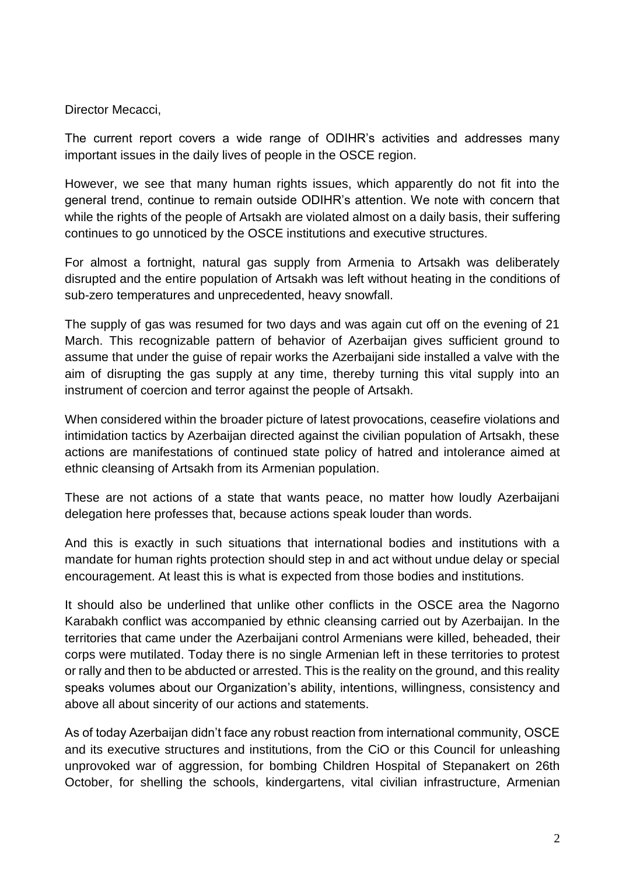Director Mecacci,

The current report covers a wide range of ODIHR's activities and addresses many important issues in the daily lives of people in the OSCE region.

However, we see that many human rights issues, which apparently do not fit into the general trend, continue to remain outside ODIHR's attention. We note with concern that while the rights of the people of Artsakh are violated almost on a daily basis, their suffering continues to go unnoticed by the OSCE institutions and executive structures.

For almost a fortnight, natural gas supply from Armenia to Artsakh was deliberately disrupted and the entire population of Artsakh was left without heating in the conditions of sub-zero temperatures and unprecedented, heavy snowfall.

The supply of gas was resumed for two days and was again cut off on the evening of 21 March. This recognizable pattern of behavior of Azerbaijan gives sufficient ground to assume that under the guise of repair works the Azerbaijani side installed a valve with the aim of disrupting the gas supply at any time, thereby turning this vital supply into an instrument of coercion and terror against the people of Artsakh.

When considered within the broader picture of latest provocations, ceasefire violations and intimidation tactics by Azerbaijan directed against the civilian population of Artsakh, these actions are manifestations of continued state policy of hatred and intolerance aimed at ethnic cleansing of Artsakh from its Armenian population.

These are not actions of a state that wants peace, no matter how loudly Azerbaijani delegation here professes that, because actions speak louder than words.

And this is exactly in such situations that international bodies and institutions with a mandate for human rights protection should step in and act without undue delay or special encouragement. At least this is what is expected from those bodies and institutions.

It should also be underlined that unlike other conflicts in the OSCE area the Nagorno Karabakh conflict was accompanied by ethnic cleansing carried out by Azerbaijan. In the territories that came under the Azerbaijani control Armenians were killed, beheaded, their corps were mutilated. Today there is no single Armenian left in these territories to protest or rally and then to be abducted or arrested. This is the reality on the ground, and this reality speaks volumes about our Organization's ability, intentions, willingness, consistency and above all about sincerity of our actions and statements.

As of today Azerbaijan didn't face any robust reaction from international community, OSCE and its executive structures and institutions, from the CiO or this Council for unleashing unprovoked war of aggression, for bombing Children Hospital of Stepanakert on 26th October, for shelling the schools, kindergartens, vital civilian infrastructure, Armenian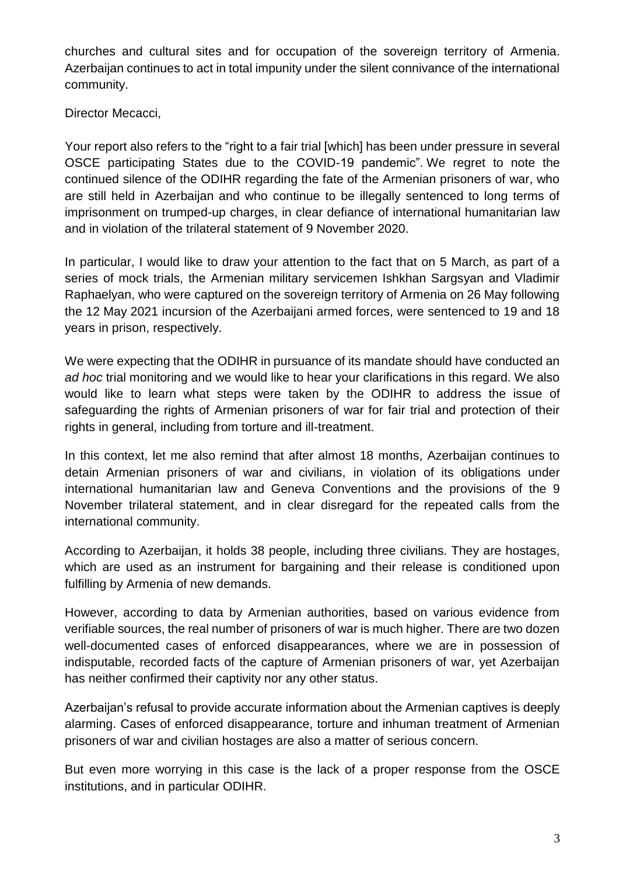churches and cultural sites and for occupation of the sovereign territory of Armenia. Azerbaijan continues to act in total impunity under the silent connivance of the international community.

Director Mecacci,

Your report also refers to the "right to a fair trial [which] has been under pressure in several OSCE participating States due to the COVID-19 pandemic". We regret to note the continued silence of the ODIHR regarding the fate of the Armenian prisoners of war, who are still held in Azerbaijan and who continue to be illegally sentenced to long terms of imprisonment on trumped-up charges, in clear defiance of international humanitarian law and in violation of the trilateral statement of 9 November 2020.

In particular, I would like to draw your attention to the fact that on 5 March, as part of a series of mock trials, the Armenian military servicemen Ishkhan Sargsyan and Vladimir Raphaelyan, who were captured on the sovereign territory of Armenia on 26 May following the 12 May 2021 incursion of the Azerbaijani armed forces, were sentenced to 19 and 18 years in prison, respectively.

We were expecting that the ODIHR in pursuance of its mandate should have conducted an *ad hoc* trial monitoring and we would like to hear your clarifications in this regard. We also would like to learn what steps were taken by the ODIHR to address the issue of safeguarding the rights of Armenian prisoners of war for fair trial and protection of their rights in general, including from torture and ill-treatment.

In this context, let me also remind that after almost 18 months, Azerbaijan continues to detain Armenian prisoners of war and civilians, in violation of its obligations under international humanitarian law and Geneva Conventions and the provisions of the 9 November trilateral statement, and in clear disregard for the repeated calls from the international community.

According to Azerbaijan, it holds 38 people, including three civilians. They are hostages, which are used as an instrument for bargaining and their release is conditioned upon fulfilling by Armenia of new demands.

However, according to data by Armenian authorities, based on various evidence from verifiable sources, the real number of prisoners of war is much higher. There are two dozen well-documented cases of enforced disappearances, where we are in possession of indisputable, recorded facts of the capture of Armenian prisoners of war, yet Azerbaijan has neither confirmed their captivity nor any other status.

Azerbaijan's refusal to provide accurate information about the Armenian captives is deeply alarming. Cases of enforced disappearance, torture and inhuman treatment of Armenian prisoners of war and civilian hostages are also a matter of serious concern.

But even more worrying in this case is the lack of a proper response from the OSCE institutions, and in particular ODIHR.